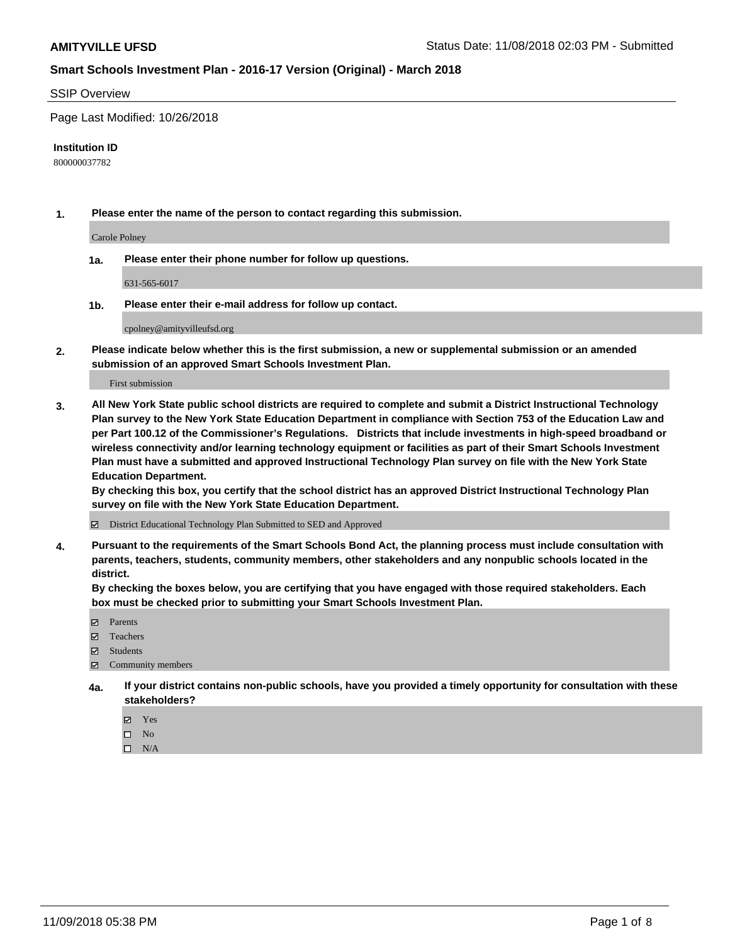### SSIP Overview

Page Last Modified: 10/26/2018

#### **Institution ID**

800000037782

**1. Please enter the name of the person to contact regarding this submission.**

Carole Polney

**1a. Please enter their phone number for follow up questions.**

631-565-6017

**1b. Please enter their e-mail address for follow up contact.**

cpolney@amityvilleufsd.org

**2. Please indicate below whether this is the first submission, a new or supplemental submission or an amended submission of an approved Smart Schools Investment Plan.**

First submission

**3. All New York State public school districts are required to complete and submit a District Instructional Technology Plan survey to the New York State Education Department in compliance with Section 753 of the Education Law and per Part 100.12 of the Commissioner's Regulations. Districts that include investments in high-speed broadband or wireless connectivity and/or learning technology equipment or facilities as part of their Smart Schools Investment Plan must have a submitted and approved Instructional Technology Plan survey on file with the New York State Education Department.** 

**By checking this box, you certify that the school district has an approved District Instructional Technology Plan survey on file with the New York State Education Department.**

District Educational Technology Plan Submitted to SED and Approved

**4. Pursuant to the requirements of the Smart Schools Bond Act, the planning process must include consultation with parents, teachers, students, community members, other stakeholders and any nonpublic schools located in the district.** 

**By checking the boxes below, you are certifying that you have engaged with those required stakeholders. Each box must be checked prior to submitting your Smart Schools Investment Plan.**

- **□** Parents
- Teachers
- Students
- $\boxtimes$  Community members
- **4a. If your district contains non-public schools, have you provided a timely opportunity for consultation with these stakeholders?**
	- Yes
	- $\qquad \qquad$  No
	- $\square$  N/A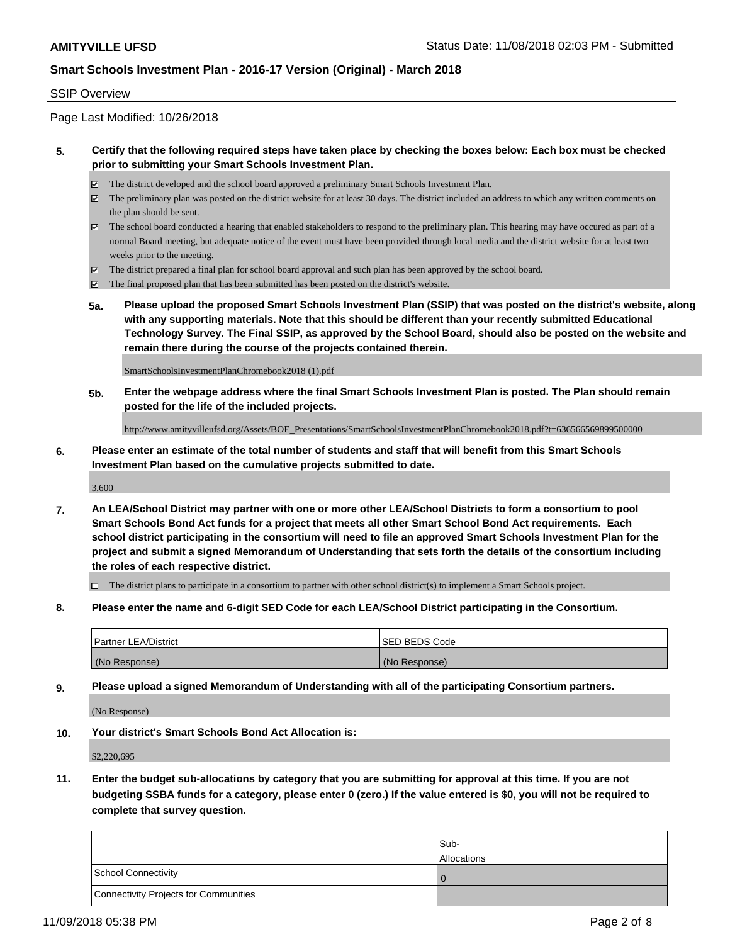#### SSIP Overview

Page Last Modified: 10/26/2018

## **5. Certify that the following required steps have taken place by checking the boxes below: Each box must be checked prior to submitting your Smart Schools Investment Plan.**

- The district developed and the school board approved a preliminary Smart Schools Investment Plan.
- $\boxtimes$  The preliminary plan was posted on the district website for at least 30 days. The district included an address to which any written comments on the plan should be sent.
- $\boxtimes$  The school board conducted a hearing that enabled stakeholders to respond to the preliminary plan. This hearing may have occured as part of a normal Board meeting, but adequate notice of the event must have been provided through local media and the district website for at least two weeks prior to the meeting.
- The district prepared a final plan for school board approval and such plan has been approved by the school board.
- $\boxtimes$  The final proposed plan that has been submitted has been posted on the district's website.
- **5a. Please upload the proposed Smart Schools Investment Plan (SSIP) that was posted on the district's website, along with any supporting materials. Note that this should be different than your recently submitted Educational Technology Survey. The Final SSIP, as approved by the School Board, should also be posted on the website and remain there during the course of the projects contained therein.**

SmartSchoolsInvestmentPlanChromebook2018 (1).pdf

**5b. Enter the webpage address where the final Smart Schools Investment Plan is posted. The Plan should remain posted for the life of the included projects.**

http://www.amityvilleufsd.org/Assets/BOE\_Presentations/SmartSchoolsInvestmentPlanChromebook2018.pdf?t=636566569899500000

**6. Please enter an estimate of the total number of students and staff that will benefit from this Smart Schools Investment Plan based on the cumulative projects submitted to date.**

3,600

**7. An LEA/School District may partner with one or more other LEA/School Districts to form a consortium to pool Smart Schools Bond Act funds for a project that meets all other Smart School Bond Act requirements. Each school district participating in the consortium will need to file an approved Smart Schools Investment Plan for the project and submit a signed Memorandum of Understanding that sets forth the details of the consortium including the roles of each respective district.**

 $\Box$  The district plans to participate in a consortium to partner with other school district(s) to implement a Smart Schools project.

**8. Please enter the name and 6-digit SED Code for each LEA/School District participating in the Consortium.**

| <b>Partner LEA/District</b> | <b>ISED BEDS Code</b> |
|-----------------------------|-----------------------|
| (No Response)               | (No Response)         |

**9. Please upload a signed Memorandum of Understanding with all of the participating Consortium partners.**

(No Response)

**10. Your district's Smart Schools Bond Act Allocation is:**

\$2,220,695

**11. Enter the budget sub-allocations by category that you are submitting for approval at this time. If you are not budgeting SSBA funds for a category, please enter 0 (zero.) If the value entered is \$0, you will not be required to complete that survey question.**

|                                              | Sub-<br><b>Allocations</b> |
|----------------------------------------------|----------------------------|
| <b>School Connectivity</b>                   |                            |
| <b>Connectivity Projects for Communities</b> |                            |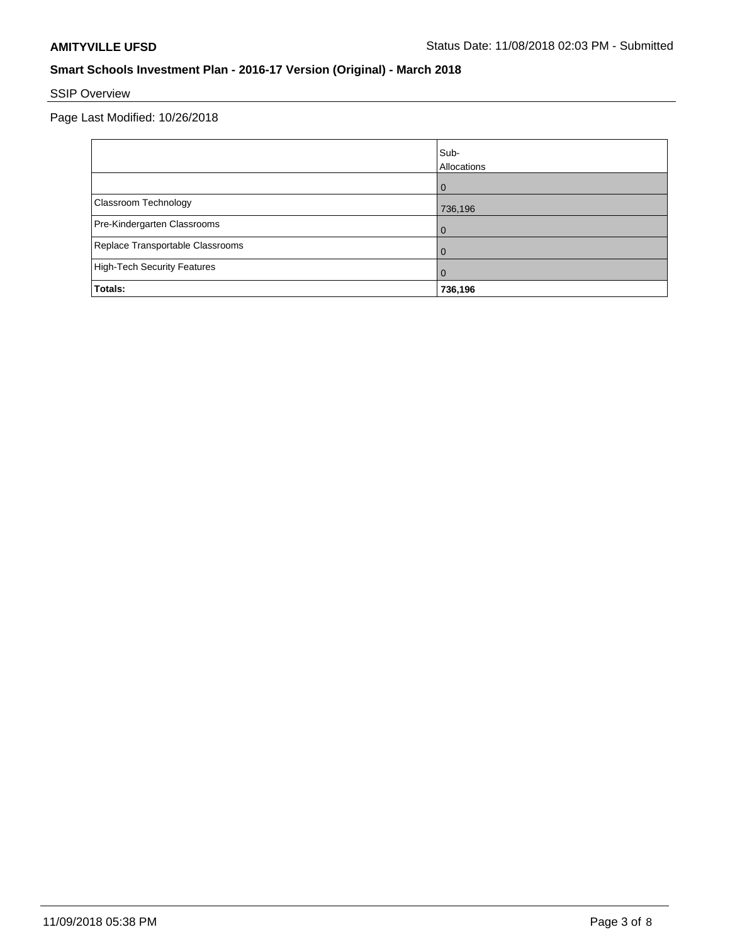# SSIP Overview

Page Last Modified: 10/26/2018

|                                    | Sub-<br>Allocations |
|------------------------------------|---------------------|
|                                    | $\Omega$            |
| Classroom Technology               | 736,196             |
| Pre-Kindergarten Classrooms        |                     |
| Replace Transportable Classrooms   |                     |
| <b>High-Tech Security Features</b> | O                   |
| Totals:                            | 736,196             |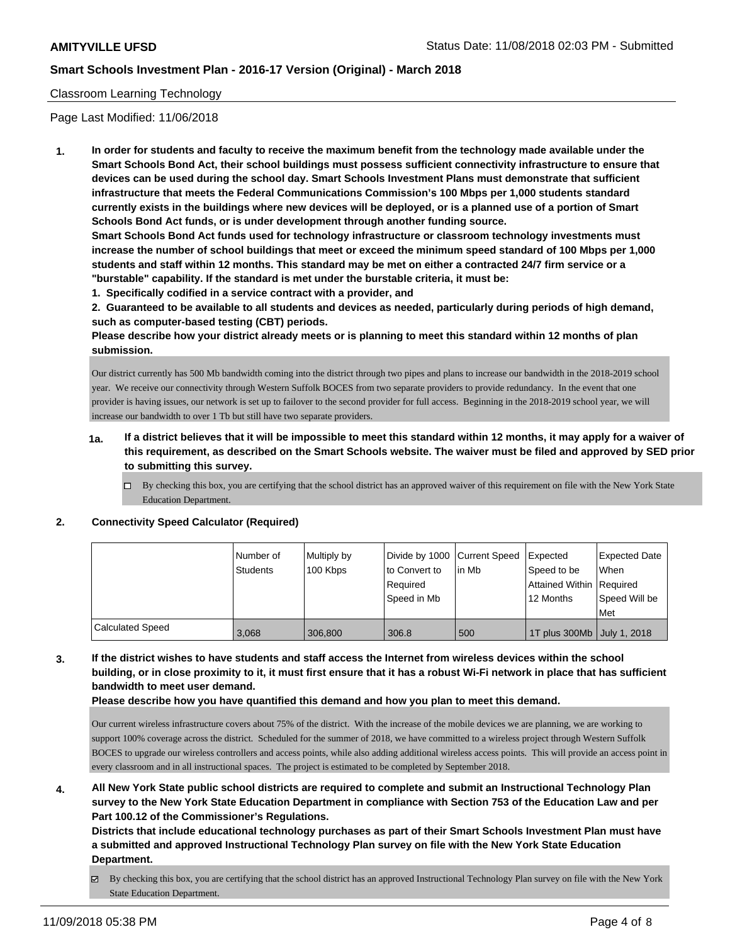## Classroom Learning Technology

Page Last Modified: 11/06/2018

**1. In order for students and faculty to receive the maximum benefit from the technology made available under the Smart Schools Bond Act, their school buildings must possess sufficient connectivity infrastructure to ensure that devices can be used during the school day. Smart Schools Investment Plans must demonstrate that sufficient infrastructure that meets the Federal Communications Commission's 100 Mbps per 1,000 students standard currently exists in the buildings where new devices will be deployed, or is a planned use of a portion of Smart Schools Bond Act funds, or is under development through another funding source.**

**Smart Schools Bond Act funds used for technology infrastructure or classroom technology investments must increase the number of school buildings that meet or exceed the minimum speed standard of 100 Mbps per 1,000 students and staff within 12 months. This standard may be met on either a contracted 24/7 firm service or a "burstable" capability. If the standard is met under the burstable criteria, it must be:**

**1. Specifically codified in a service contract with a provider, and**

**2. Guaranteed to be available to all students and devices as needed, particularly during periods of high demand, such as computer-based testing (CBT) periods.**

**Please describe how your district already meets or is planning to meet this standard within 12 months of plan submission.**

Our district currently has 500 Mb bandwidth coming into the district through two pipes and plans to increase our bandwidth in the 2018-2019 school year. We receive our connectivity through Western Suffolk BOCES from two separate providers to provide redundancy. In the event that one provider is having issues, our network is set up to failover to the second provider for full access. Beginning in the 2018-2019 school year, we will increase our bandwidth to over 1 Tb but still have two separate providers.

- **1a. If a district believes that it will be impossible to meet this standard within 12 months, it may apply for a waiver of this requirement, as described on the Smart Schools website. The waiver must be filed and approved by SED prior to submitting this survey.**
	- By checking this box, you are certifying that the school district has an approved waiver of this requirement on file with the New York State Education Department.

#### **2. Connectivity Speed Calculator (Required)**

|                  | I Number of<br><b>Students</b> | Multiply by<br>100 Kbps | Divide by 1000 Current Speed<br>to Convert to<br>Required<br>Speed in Mb | lin Mb | Expected<br>Speed to be<br>Attained Within Required<br>12 Months | <b>Expected Date</b><br>When<br>Speed Will be<br>l Met |
|------------------|--------------------------------|-------------------------|--------------------------------------------------------------------------|--------|------------------------------------------------------------------|--------------------------------------------------------|
| Calculated Speed | 3.068                          | 306,800                 | 306.8                                                                    | 500    | 1T plus 300Mb   July 1, 2018                                     |                                                        |

**3. If the district wishes to have students and staff access the Internet from wireless devices within the school building, or in close proximity to it, it must first ensure that it has a robust Wi-Fi network in place that has sufficient bandwidth to meet user demand.**

**Please describe how you have quantified this demand and how you plan to meet this demand.**

Our current wireless infrastructure covers about 75% of the district. With the increase of the mobile devices we are planning, we are working to support 100% coverage across the district. Scheduled for the summer of 2018, we have committed to a wireless project through Western Suffolk BOCES to upgrade our wireless controllers and access points, while also adding additional wireless access points. This will provide an access point in every classroom and in all instructional spaces. The project is estimated to be completed by September 2018.

**4. All New York State public school districts are required to complete and submit an Instructional Technology Plan survey to the New York State Education Department in compliance with Section 753 of the Education Law and per Part 100.12 of the Commissioner's Regulations.**

**Districts that include educational technology purchases as part of their Smart Schools Investment Plan must have a submitted and approved Instructional Technology Plan survey on file with the New York State Education Department.**

By checking this box, you are certifying that the school district has an approved Instructional Technology Plan survey on file with the New York State Education Department.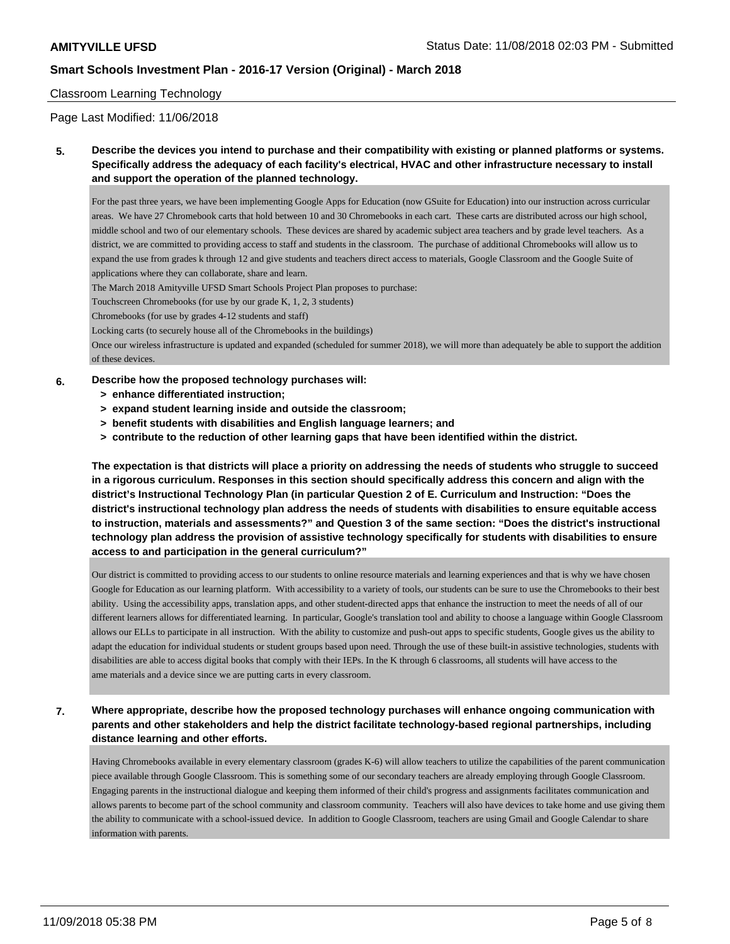## Classroom Learning Technology

Page Last Modified: 11/06/2018

**5. Describe the devices you intend to purchase and their compatibility with existing or planned platforms or systems. Specifically address the adequacy of each facility's electrical, HVAC and other infrastructure necessary to install and support the operation of the planned technology.**

For the past three years, we have been implementing Google Apps for Education (now GSuite for Education) into our instruction across curricular areas. We have 27 Chromebook carts that hold between 10 and 30 Chromebooks in each cart. These carts are distributed across our high school, middle school and two of our elementary schools. These devices are shared by academic subject area teachers and by grade level teachers. As a district, we are committed to providing access to staff and students in the classroom. The purchase of additional Chromebooks will allow us to expand the use from grades k through 12 and give students and teachers direct access to materials, Google Classroom and the Google Suite of applications where they can collaborate, share and learn.

The March 2018 Amityville UFSD Smart Schools Project Plan proposes to purchase:

Touchscreen Chromebooks (for use by our grade K, 1, 2, 3 students)

Chromebooks (for use by grades 4-12 students and staff)

Locking carts (to securely house all of the Chromebooks in the buildings)

Once our wireless infrastructure is updated and expanded (scheduled for summer 2018), we will more than adequately be able to support the addition of these devices.

#### **6. Describe how the proposed technology purchases will:**

- **> enhance differentiated instruction;**
- **> expand student learning inside and outside the classroom;**
- **> benefit students with disabilities and English language learners; and**
- **> contribute to the reduction of other learning gaps that have been identified within the district.**

**The expectation is that districts will place a priority on addressing the needs of students who struggle to succeed in a rigorous curriculum. Responses in this section should specifically address this concern and align with the district's Instructional Technology Plan (in particular Question 2 of E. Curriculum and Instruction: "Does the district's instructional technology plan address the needs of students with disabilities to ensure equitable access to instruction, materials and assessments?" and Question 3 of the same section: "Does the district's instructional technology plan address the provision of assistive technology specifically for students with disabilities to ensure access to and participation in the general curriculum?"**

Our district is committed to providing access to our students to online resource materials and learning experiences and that is why we have chosen Google for Education as our learning platform. With accessibility to a variety of tools, our students can be sure to use the Chromebooks to their best ability. Using the accessibility apps, translation apps, and other student-directed apps that enhance the instruction to meet the needs of all of our different learners allows for differentiated learning. In particular, Google's translation tool and ability to choose a language within Google Classroom allows our ELLs to participate in all instruction. With the ability to customize and push-out apps to specific students, Google gives us the ability to adapt the education for individual students or student groups based upon need. Through the use of these built-in assistive technologies, students with disabilities are able to access digital books that comply with their IEPs. In the K through 6 classrooms, all students will have access to the ame materials and a device since we are putting carts in every classroom.

# **7. Where appropriate, describe how the proposed technology purchases will enhance ongoing communication with parents and other stakeholders and help the district facilitate technology-based regional partnerships, including distance learning and other efforts.**

Having Chromebooks available in every elementary classroom (grades K-6) will allow teachers to utilize the capabilities of the parent communication piece available through Google Classroom. This is something some of our secondary teachers are already employing through Google Classroom. Engaging parents in the instructional dialogue and keeping them informed of their child's progress and assignments facilitates communication and allows parents to become part of the school community and classroom community. Teachers will also have devices to take home and use giving them the ability to communicate with a school-issued device. In addition to Google Classroom, teachers are using Gmail and Google Calendar to share information with parents.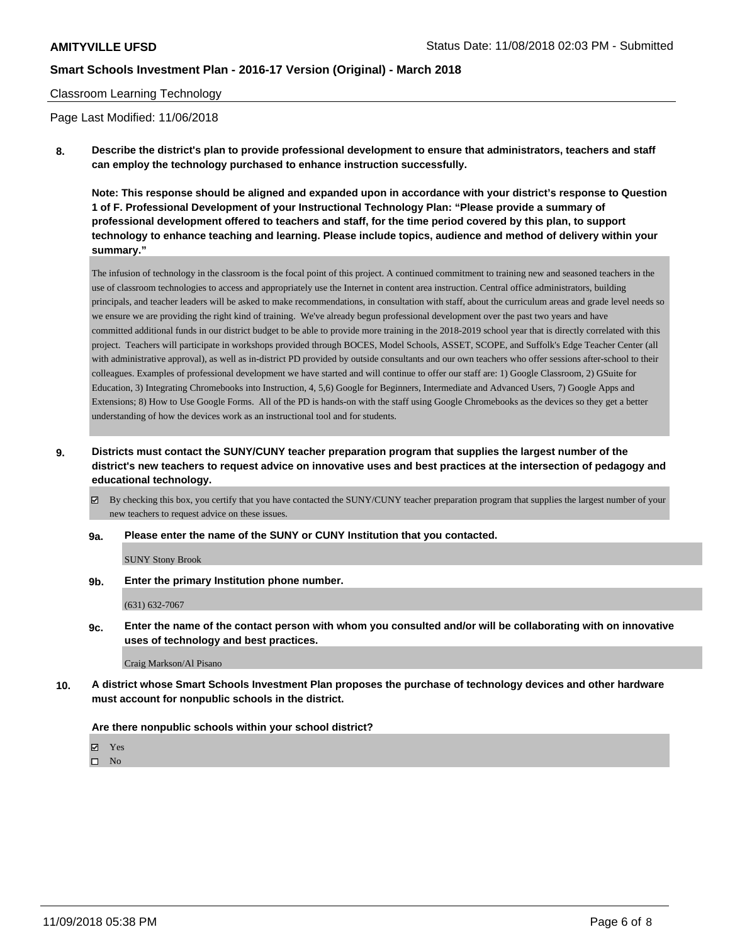#### Classroom Learning Technology

Page Last Modified: 11/06/2018

**8. Describe the district's plan to provide professional development to ensure that administrators, teachers and staff can employ the technology purchased to enhance instruction successfully.**

**Note: This response should be aligned and expanded upon in accordance with your district's response to Question 1 of F. Professional Development of your Instructional Technology Plan: "Please provide a summary of professional development offered to teachers and staff, for the time period covered by this plan, to support technology to enhance teaching and learning. Please include topics, audience and method of delivery within your summary."**

The infusion of technology in the classroom is the focal point of this project. A continued commitment to training new and seasoned teachers in the use of classroom technologies to access and appropriately use the Internet in content area instruction. Central office administrators, building principals, and teacher leaders will be asked to make recommendations, in consultation with staff, about the curriculum areas and grade level needs so we ensure we are providing the right kind of training. We've already begun professional development over the past two years and have committed additional funds in our district budget to be able to provide more training in the 2018-2019 school year that is directly correlated with this project. Teachers will participate in workshops provided through BOCES, Model Schools, ASSET, SCOPE, and Suffolk's Edge Teacher Center (all with administrative approval), as well as in-district PD provided by outside consultants and our own teachers who offer sessions after-school to their colleagues. Examples of professional development we have started and will continue to offer our staff are: 1) Google Classroom, 2) GSuite for Education, 3) Integrating Chromebooks into Instruction, 4, 5,6) Google for Beginners, Intermediate and Advanced Users, 7) Google Apps and Extensions; 8) How to Use Google Forms. All of the PD is hands-on with the staff using Google Chromebooks as the devices so they get a better understanding of how the devices work as an instructional tool and for students.

**9. Districts must contact the SUNY/CUNY teacher preparation program that supplies the largest number of the district's new teachers to request advice on innovative uses and best practices at the intersection of pedagogy and educational technology.**

 $\boxtimes$  By checking this box, you certify that you have contacted the SUNY/CUNY teacher preparation program that supplies the largest number of your new teachers to request advice on these issues.

**9a. Please enter the name of the SUNY or CUNY Institution that you contacted.**

SUNY Stony Brook

**9b. Enter the primary Institution phone number.**

(631) 632-7067

**9c. Enter the name of the contact person with whom you consulted and/or will be collaborating with on innovative uses of technology and best practices.**

#### Craig Markson/Al Pisano

**10. A district whose Smart Schools Investment Plan proposes the purchase of technology devices and other hardware must account for nonpublic schools in the district.**

#### **Are there nonpublic schools within your school district?**

Yes

 $\hfill \square$  No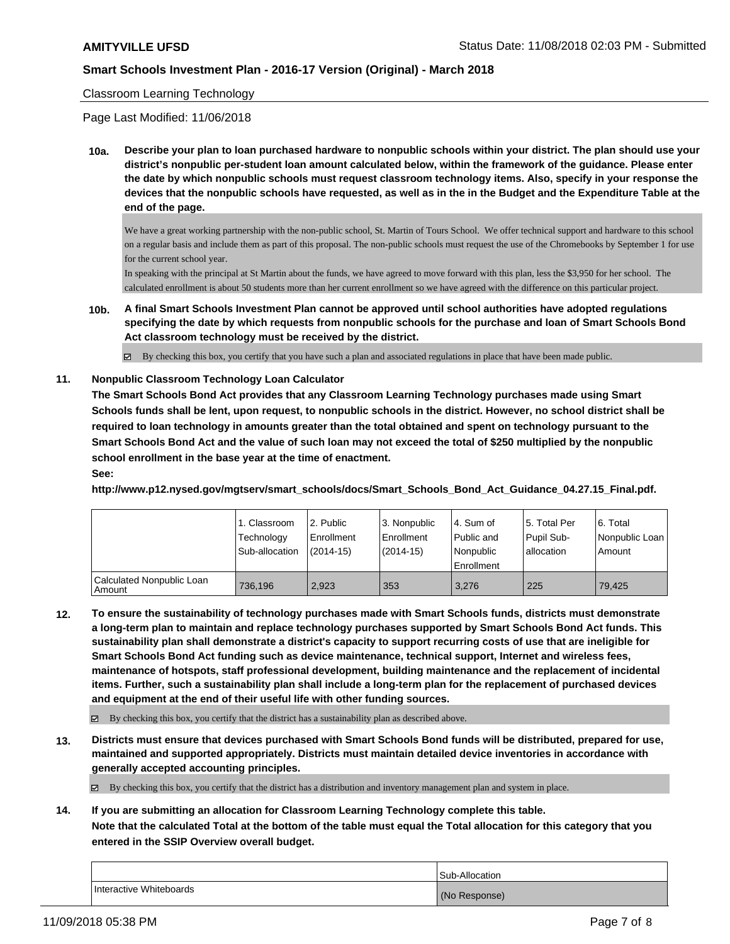#### Classroom Learning Technology

Page Last Modified: 11/06/2018

**10a. Describe your plan to loan purchased hardware to nonpublic schools within your district. The plan should use your district's nonpublic per-student loan amount calculated below, within the framework of the guidance. Please enter the date by which nonpublic schools must request classroom technology items. Also, specify in your response the devices that the nonpublic schools have requested, as well as in the in the Budget and the Expenditure Table at the end of the page.**

We have a great working partnership with the non-public school, St. Martin of Tours School. We offer technical support and hardware to this school on a regular basis and include them as part of this proposal. The non-public schools must request the use of the Chromebooks by September 1 for use for the current school year.

In speaking with the principal at St Martin about the funds, we have agreed to move forward with this plan, less the \$3,950 for her school. The calculated enrollment is about 50 students more than her current enrollment so we have agreed with the difference on this particular project.

**10b. A final Smart Schools Investment Plan cannot be approved until school authorities have adopted regulations specifying the date by which requests from nonpublic schools for the purchase and loan of Smart Schools Bond Act classroom technology must be received by the district.**

By checking this box, you certify that you have such a plan and associated regulations in place that have been made public.

#### **11. Nonpublic Classroom Technology Loan Calculator**

**The Smart Schools Bond Act provides that any Classroom Learning Technology purchases made using Smart Schools funds shall be lent, upon request, to nonpublic schools in the district. However, no school district shall be required to loan technology in amounts greater than the total obtained and spent on technology pursuant to the Smart Schools Bond Act and the value of such loan may not exceed the total of \$250 multiplied by the nonpublic school enrollment in the base year at the time of enactment.**

#### **See:**

**http://www.p12.nysed.gov/mgtserv/smart\_schools/docs/Smart\_Schools\_Bond\_Act\_Guidance\_04.27.15\_Final.pdf.**

|                                       | 1. Classroom<br>Technology<br>Sub-allocation | l 2. Public<br>Enrollment<br>$(2014-15)$ | 3. Nonpublic<br>Enrollment<br>$(2014-15)$ | l 4. Sum of<br>Public and<br>l Nonpublic<br>Enrollment | 15. Total Per<br>Pupil Sub-<br>allocation | 6. Total<br>Nonpublic Loan<br>Amount |
|---------------------------------------|----------------------------------------------|------------------------------------------|-------------------------------------------|--------------------------------------------------------|-------------------------------------------|--------------------------------------|
| Calculated Nonpublic Loan<br>l Amount | 736.196                                      | 2.923                                    | 353                                       | 3.276                                                  | 225                                       | 79.425                               |

**12. To ensure the sustainability of technology purchases made with Smart Schools funds, districts must demonstrate a long-term plan to maintain and replace technology purchases supported by Smart Schools Bond Act funds. This sustainability plan shall demonstrate a district's capacity to support recurring costs of use that are ineligible for Smart Schools Bond Act funding such as device maintenance, technical support, Internet and wireless fees, maintenance of hotspots, staff professional development, building maintenance and the replacement of incidental items. Further, such a sustainability plan shall include a long-term plan for the replacement of purchased devices and equipment at the end of their useful life with other funding sources.**

 $\boxtimes$  By checking this box, you certify that the district has a sustainability plan as described above.

**13. Districts must ensure that devices purchased with Smart Schools Bond funds will be distributed, prepared for use, maintained and supported appropriately. Districts must maintain detailed device inventories in accordance with generally accepted accounting principles.**

By checking this box, you certify that the district has a distribution and inventory management plan and system in place.

**14. If you are submitting an allocation for Classroom Learning Technology complete this table.**

**Note that the calculated Total at the bottom of the table must equal the Total allocation for this category that you entered in the SSIP Overview overall budget.**

|                         | Sub-Allocation |
|-------------------------|----------------|
| Interactive Whiteboards | (No Response)  |